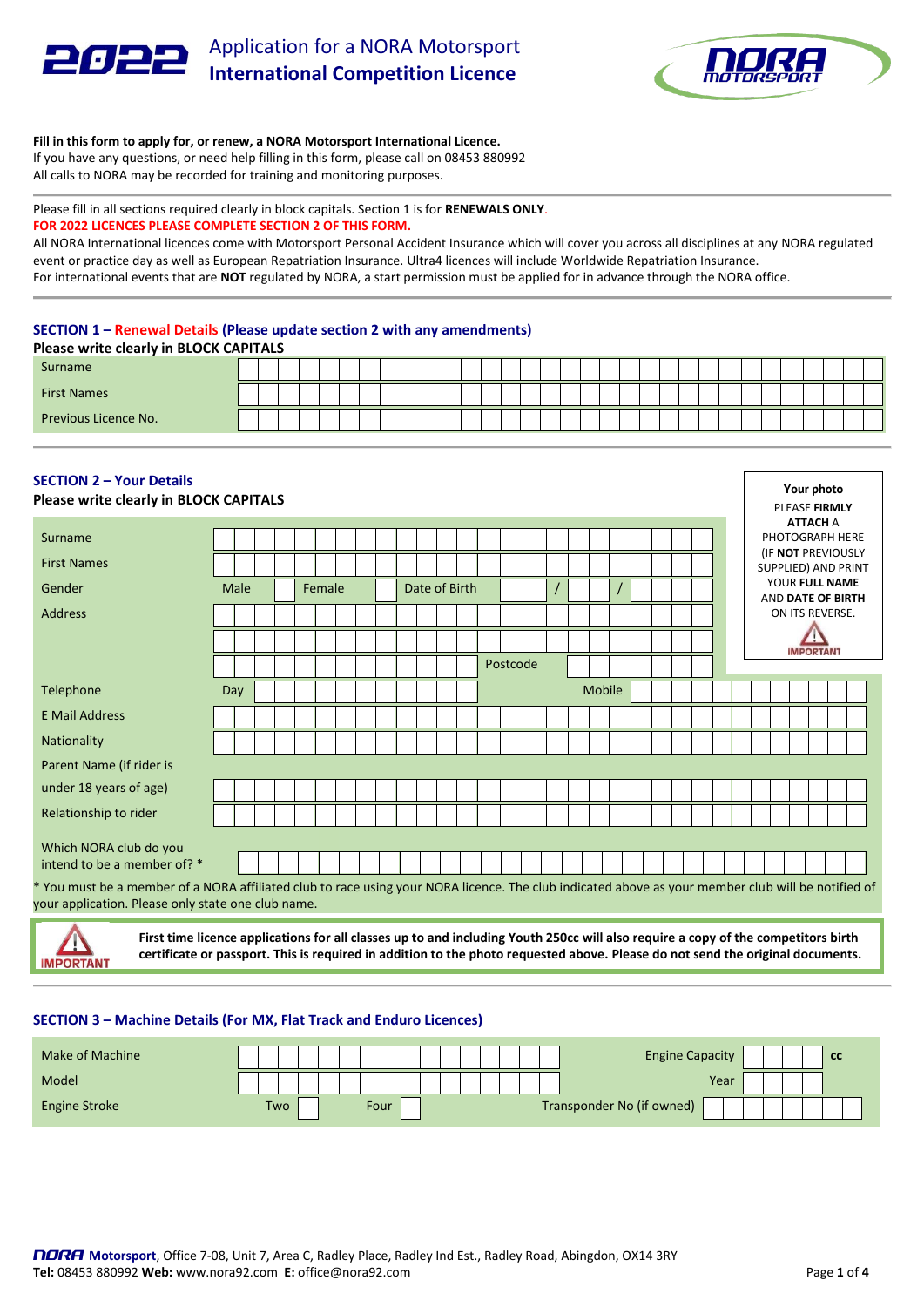



## **Fill in this form to apply for, or renew, a NORA Motorsport International Licence.**

If you have any questions, or need help filling in this form, please call on 08453 880992 All calls to NORA may be recorded for training and monitoring purposes.

## Please fill in all sections required clearly in block capitals. Section 1 is for **RENEWALS ONLY**. **FOR 2022 LICENCES PLEASE COMPLETE SECTION 2 OF THIS FORM.**

All NORA International licences come with Motorsport Personal Accident Insurance which will cover you across all disciplines at any NORA regulated event or practice day as well as European Repatriation Insurance. Ultra4 licences will include Worldwide Repatriation Insurance. For international events that are **NOT** regulated by NORA, a start permission must be applied for in advance through the NORA office.

# **SECTION 1 – Renewal Details (Please update section 2 with any amendments)**

| <b>Please write clearly in BLOCK CAPITALS</b> |  |  |  |  |  |  |  |  |  |  |  |  |  |  |  |  |
|-----------------------------------------------|--|--|--|--|--|--|--|--|--|--|--|--|--|--|--|--|
| Surname                                       |  |  |  |  |  |  |  |  |  |  |  |  |  |  |  |  |
| <b>First Names</b>                            |  |  |  |  |  |  |  |  |  |  |  |  |  |  |  |  |
| Previous Licence No.                          |  |  |  |  |  |  |  |  |  |  |  |  |  |  |  |  |

| <b>SECTION 2 - Your Details</b><br>Please write clearly in BLOCK CAPITALS |                                                                                                                                                                                                          |      |  |  |  |        |  |  |  |  |               |          |  |               |  |  |  |  |                                                                                         |  | Your photo<br>PLEASE FIRMLY |                 |  |
|---------------------------------------------------------------------------|----------------------------------------------------------------------------------------------------------------------------------------------------------------------------------------------------------|------|--|--|--|--------|--|--|--|--|---------------|----------|--|---------------|--|--|--|--|-----------------------------------------------------------------------------------------|--|-----------------------------|-----------------|--|
| Surname                                                                   |                                                                                                                                                                                                          |      |  |  |  |        |  |  |  |  |               |          |  |               |  |  |  |  |                                                                                         |  | <b>ATTACH A</b>             | PHOTOGRAPH HERE |  |
| <b>First Names</b>                                                        |                                                                                                                                                                                                          |      |  |  |  |        |  |  |  |  |               |          |  |               |  |  |  |  | (IF NOT PREVIOUSLY<br><b>SUPPLIED) AND PRINT</b><br>YOUR FULL NAME<br>AND DATE OF BIRTH |  |                             |                 |  |
| Gender                                                                    |                                                                                                                                                                                                          | Male |  |  |  | Female |  |  |  |  | Date of Birth |          |  |               |  |  |  |  |                                                                                         |  |                             |                 |  |
| <b>Address</b>                                                            |                                                                                                                                                                                                          |      |  |  |  |        |  |  |  |  |               |          |  |               |  |  |  |  |                                                                                         |  | ON ITS REVERSE.             |                 |  |
|                                                                           |                                                                                                                                                                                                          |      |  |  |  |        |  |  |  |  |               |          |  |               |  |  |  |  |                                                                                         |  | <b>IMPORTANT</b>            |                 |  |
|                                                                           |                                                                                                                                                                                                          |      |  |  |  |        |  |  |  |  |               | Postcode |  |               |  |  |  |  |                                                                                         |  |                             |                 |  |
| Telephone                                                                 | Day                                                                                                                                                                                                      |      |  |  |  |        |  |  |  |  |               |          |  | <b>Mobile</b> |  |  |  |  |                                                                                         |  |                             |                 |  |
| <b>E Mail Address</b>                                                     |                                                                                                                                                                                                          |      |  |  |  |        |  |  |  |  |               |          |  |               |  |  |  |  |                                                                                         |  |                             |                 |  |
| <b>Nationality</b>                                                        |                                                                                                                                                                                                          |      |  |  |  |        |  |  |  |  |               |          |  |               |  |  |  |  |                                                                                         |  |                             |                 |  |
| Parent Name (if rider is                                                  |                                                                                                                                                                                                          |      |  |  |  |        |  |  |  |  |               |          |  |               |  |  |  |  |                                                                                         |  |                             |                 |  |
| under 18 years of age)                                                    |                                                                                                                                                                                                          |      |  |  |  |        |  |  |  |  |               |          |  |               |  |  |  |  |                                                                                         |  |                             |                 |  |
| Relationship to rider                                                     |                                                                                                                                                                                                          |      |  |  |  |        |  |  |  |  |               |          |  |               |  |  |  |  |                                                                                         |  |                             |                 |  |
| Which NORA club do you<br>intend to be a member of? *                     |                                                                                                                                                                                                          |      |  |  |  |        |  |  |  |  |               |          |  |               |  |  |  |  |                                                                                         |  |                             |                 |  |
|                                                                           | * You must be a member of a NORA affiliated club to race using your NORA licence. The club indicated above as your member club will be notified of<br>your application. Please only state one club name. |      |  |  |  |        |  |  |  |  |               |          |  |               |  |  |  |  |                                                                                         |  |                             |                 |  |

**MPORTANT** 

**First time licence applications for all classes up to and including Youth 250cc will also require a copy of the competitors birth certificate or passport. This is required in addition to the photo requested above. Please do not send the original documents.**

## **SECTION 3 – Machine Details (For MX, Flat Track and Enduro Licences)**

| Make of Machine |     |  |  |      |  |  |  |  | <b>Engine Capacity</b>    |  |  | <b>CC</b> |
|-----------------|-----|--|--|------|--|--|--|--|---------------------------|--|--|-----------|
| Model           |     |  |  |      |  |  |  |  | Year                      |  |  |           |
| Engine Stroke   | Two |  |  | Four |  |  |  |  | Transponder No (if owned) |  |  |           |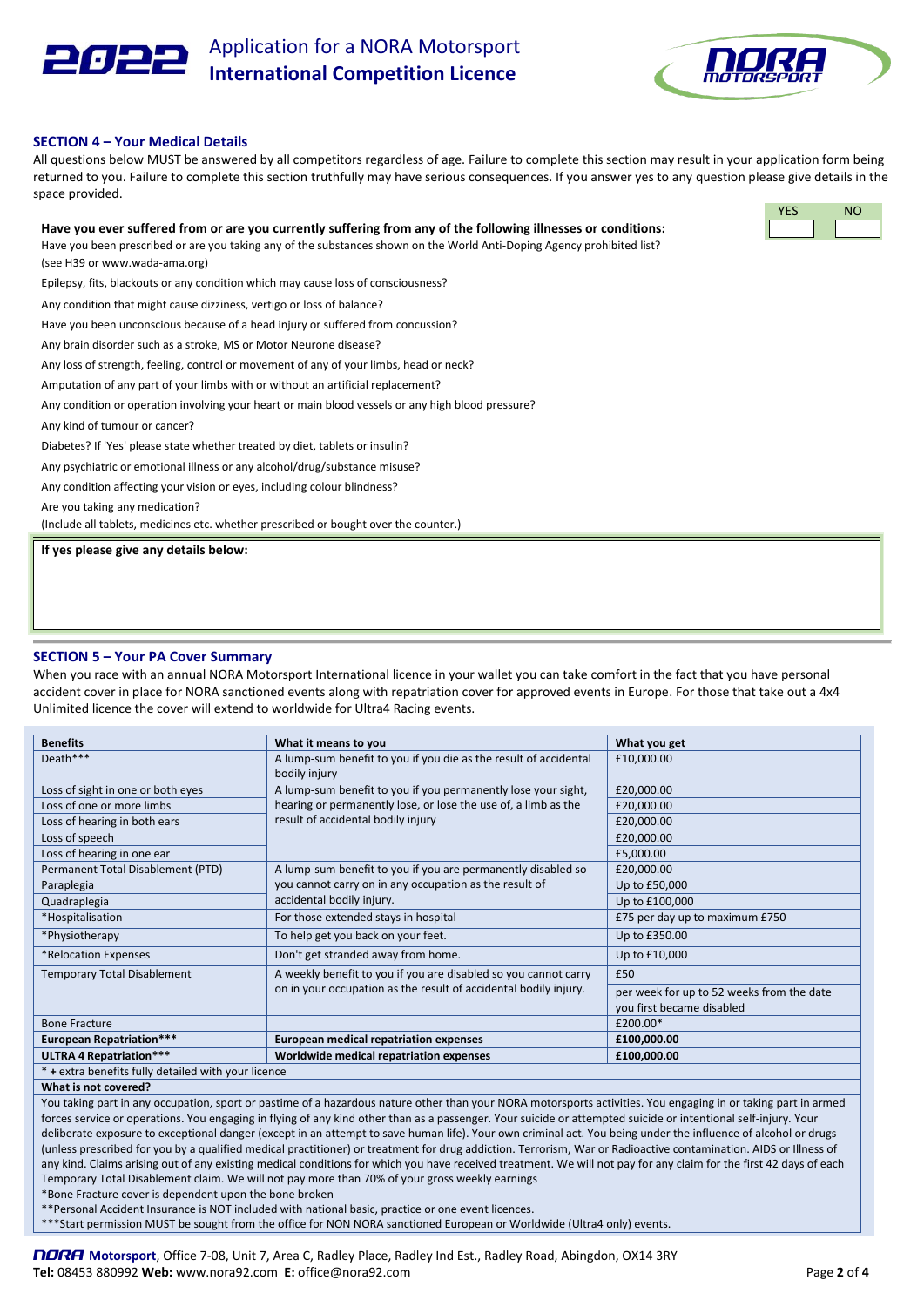

Application for a NORA Motorsport **International Competition Licence**



YES NO

### **SECTION 4 – Your Medical Details**

All questions below MUST be answered by all competitors regardless of age. Failure to complete this section may result in your application form being returned to you. Failure to complete this section truthfully may have serious consequences. If you answer yes to any question please give details in the space provided.

#### **Have you ever suffered from or are you currently suffering from any of the following illnesses or conditions:**

Have you been prescribed or are you taking any of the substances shown on the World Anti-Doping Agency prohibited list? (see H39 or www.wada-ama.org)

Epilepsy, fits, blackouts or any condition which may cause loss of consciousness?

Any condition that might cause dizziness, vertigo or loss of balance?

Have you been unconscious because of a head injury or suffered from concussion?

Any brain disorder such as a stroke, MS or Motor Neurone disease?

Any loss of strength, feeling, control or movement of any of your limbs, head or neck?

Amputation of any part of your limbs with or without an artificial replacement?

Any condition or operation involving your heart or main blood vessels or any high blood pressure?

Any kind of tumour or cancer?

Diabetes? If 'Yes' please state whether treated by diet, tablets or insulin?

Any psychiatric or emotional illness or any alcohol/drug/substance misuse?

Any condition affecting your vision or eyes, including colour blindness?

Are you taking any medication?

(Include all tablets, medicines etc. whether prescribed or bought over the counter.)

**If yes please give any details below:**

#### **SECTION 5 – Your PA Cover Summary**

When you race with an annual NORA Motorsport International licence in your wallet you can take comfort in the fact that you have personal accident cover in place for NORA sanctioned events along with repatriation cover for approved events in Europe. For those that take out a 4x4 Unlimited licence the cover will extend to worldwide for Ultra4 Racing events.

| <b>Benefits</b>                                     | What it means to you                                                              | What you get                                                           |  |  |  |  |  |  |
|-----------------------------------------------------|-----------------------------------------------------------------------------------|------------------------------------------------------------------------|--|--|--|--|--|--|
| Death***                                            | A lump-sum benefit to you if you die as the result of accidental<br>bodily injury | £10,000.00                                                             |  |  |  |  |  |  |
| Loss of sight in one or both eyes                   | A lump-sum benefit to you if you permanently lose your sight,                     | £20,000.00                                                             |  |  |  |  |  |  |
| Loss of one or more limbs                           | hearing or permanently lose, or lose the use of, a limb as the                    | £20,000.00                                                             |  |  |  |  |  |  |
| Loss of hearing in both ears                        | result of accidental bodily injury                                                | £20,000.00                                                             |  |  |  |  |  |  |
| Loss of speech                                      |                                                                                   | £20,000.00                                                             |  |  |  |  |  |  |
| Loss of hearing in one ear                          |                                                                                   | £5,000.00                                                              |  |  |  |  |  |  |
| Permanent Total Disablement (PTD)                   | A lump-sum benefit to you if you are permanently disabled so                      | £20,000.00                                                             |  |  |  |  |  |  |
| Paraplegia                                          | you cannot carry on in any occupation as the result of                            | Up to £50,000                                                          |  |  |  |  |  |  |
| Quadraplegia                                        | accidental bodily injury.                                                         | Up to £100,000                                                         |  |  |  |  |  |  |
| *Hospitalisation                                    | For those extended stays in hospital                                              | £75 per day up to maximum £750                                         |  |  |  |  |  |  |
| *Physiotherapy                                      | To help get you back on your feet.                                                | Up to £350.00                                                          |  |  |  |  |  |  |
| *Relocation Expenses                                | Don't get stranded away from home.                                                | Up to £10,000                                                          |  |  |  |  |  |  |
| Temporary Total Disablement                         | A weekly benefit to you if you are disabled so you cannot carry                   | £50                                                                    |  |  |  |  |  |  |
|                                                     | on in your occupation as the result of accidental bodily injury.                  | per week for up to 52 weeks from the date<br>you first became disabled |  |  |  |  |  |  |
| <b>Bone Fracture</b>                                |                                                                                   | £200.00*                                                               |  |  |  |  |  |  |
| <b>European Repatriation***</b>                     | <b>European medical repatriation expenses</b>                                     | £100,000.00                                                            |  |  |  |  |  |  |
| ULTRA 4 Repatriation***                             | Worldwide medical repatriation expenses                                           | £100,000.00                                                            |  |  |  |  |  |  |
| * + extra benefits fully detailed with your licence |                                                                                   |                                                                        |  |  |  |  |  |  |

**What is not covered?**

You taking part in any occupation, sport or pastime of a hazardous nature other than your NORA motorsports activities. You engaging in or taking part in armed forces service or operations. You engaging in flying of any kind other than as a passenger. Your suicide or attempted suicide or intentional self-injury. Your deliberate exposure to exceptional danger (except in an attempt to save human life). Your own criminal act. You being under the influence of alcohol or drugs (unless prescribed for you by a qualified medical practitioner) or treatment for drug addiction. Terrorism, War or Radioactive contamination. AIDS or Illness of any kind. Claims arising out of any existing medical conditions for which you have received treatment. We will not pay for any claim for the first 42 days of each Temporary Total Disablement claim. We will not pay more than 70% of your gross weekly earnings

\*Bone Fracture cover is dependent upon the bone broken

\*\*Personal Accident Insurance is NOT included with national basic, practice or one event licences.

\*\*\*Start permission MUST be sought from the office for NON NORA sanctioned European or Worldwide (Ultra4 only) events.

NORA **Motorsport**, Office 7-08, Unit 7, Area C, Radley Place, Radley Ind Est., Radley Road, Abingdon, OX14 3RY **Tel:** 08453 880992 **Web:** www.nora92.com **E:** office@nora92.com Page **2** of **4**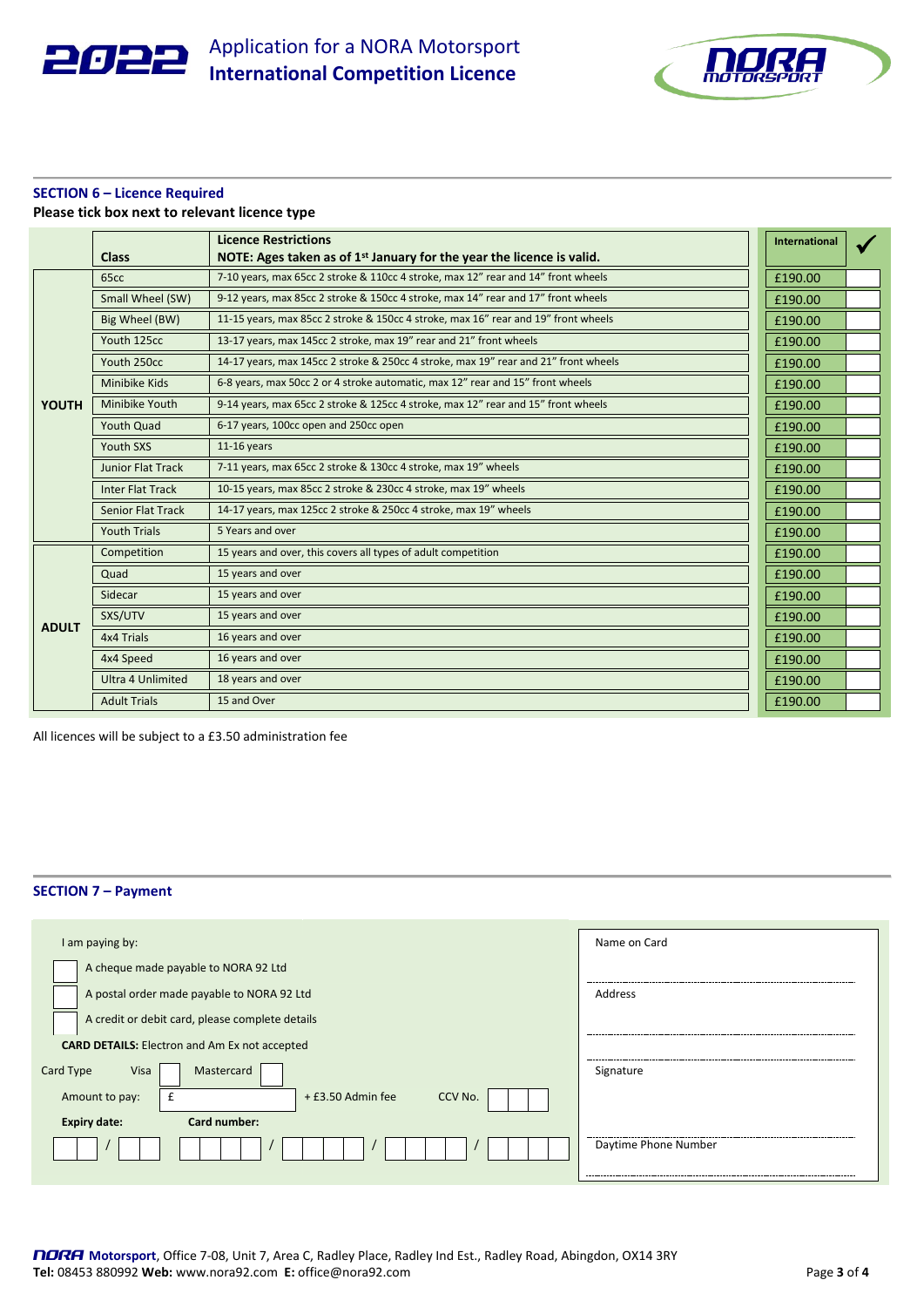



# **SECTION 6 – Licence Required**

|  |  |  |  | Please tick box next to relevant licence type |  |  |
|--|--|--|--|-----------------------------------------------|--|--|
|--|--|--|--|-----------------------------------------------|--|--|

|              | <b>Class</b>             | <b>Licence Restrictions</b><br>NOTE: Ages taken as of $1st$ January for the year the licence is valid. | <b>International</b> |  |
|--------------|--------------------------|--------------------------------------------------------------------------------------------------------|----------------------|--|
|              | 65cc                     | 7-10 years, max 65cc 2 stroke & 110cc 4 stroke, max 12" rear and 14" front wheels                      | £190.00              |  |
|              | Small Wheel (SW)         | 9-12 years, max 85cc 2 stroke & 150cc 4 stroke, max 14" rear and 17" front wheels                      | £190.00              |  |
|              | Big Wheel (BW)           | 11-15 years, max 85cc 2 stroke & 150cc 4 stroke, max 16" rear and 19" front wheels                     | £190.00              |  |
|              | Youth 125cc              | 13-17 years, max 145cc 2 stroke, max 19" rear and 21" front wheels                                     | £190.00              |  |
|              | Youth 250cc              | 14-17 years, max 145cc 2 stroke & 250cc 4 stroke, max 19" rear and 21" front wheels                    | £190.00              |  |
|              | Minibike Kids            | 6-8 years, max 50cc 2 or 4 stroke automatic, max 12" rear and 15" front wheels                         | £190.00              |  |
| <b>YOUTH</b> | Minibike Youth           | 9-14 years, max 65cc 2 stroke & 125cc 4 stroke, max 12" rear and 15" front wheels                      | £190.00              |  |
|              | <b>Youth Quad</b>        | 6-17 years, 100cc open and 250cc open                                                                  | £190.00              |  |
|              | Youth SXS                | $11-16$ years                                                                                          | £190.00              |  |
|              | <b>Junior Flat Track</b> | 7-11 years, max 65cc 2 stroke & 130cc 4 stroke, max 19" wheels                                         | £190.00              |  |
|              | <b>Inter Flat Track</b>  | 10-15 years, max 85cc 2 stroke & 230cc 4 stroke, max 19" wheels                                        | £190.00              |  |
|              | <b>Senior Flat Track</b> | 14-17 years, max 125cc 2 stroke & 250cc 4 stroke, max 19" wheels                                       | £190.00              |  |
|              | <b>Youth Trials</b>      | 5 Years and over                                                                                       | £190.00              |  |
|              | Competition              | 15 years and over, this covers all types of adult competition                                          | £190.00              |  |
|              | Quad                     | 15 years and over                                                                                      | £190.00              |  |
|              | Sidecar                  | 15 years and over                                                                                      | £190.00              |  |
| <b>ADULT</b> | SXS/UTV                  | 15 years and over                                                                                      | £190.00              |  |
|              | 4x4 Trials               | 16 years and over                                                                                      | £190.00              |  |
|              | 4x4 Speed                | 16 years and over                                                                                      | £190.00              |  |
|              | Ultra 4 Unlimited        | 18 years and over                                                                                      | £190.00              |  |
|              | <b>Adult Trials</b>      | 15 and Over                                                                                            | £190.00              |  |

All licences will be subject to a £3.50 administration fee

## **SECTION 7 – Payment**

| I am paying by:                                      | Name on Card         |
|------------------------------------------------------|----------------------|
| A cheque made payable to NORA 92 Ltd                 |                      |
| A postal order made payable to NORA 92 Ltd           | Address              |
| A credit or debit card, please complete details      |                      |
| <b>CARD DETAILS:</b> Electron and Am Ex not accepted |                      |
| Mastercard<br>Card Type<br>Visa                      | Signature            |
| + £3.50 Admin fee<br>CCV No.<br>Amount to pay:       |                      |
| Card number:<br><b>Expiry date:</b>                  |                      |
|                                                      | Daytime Phone Number |
|                                                      |                      |